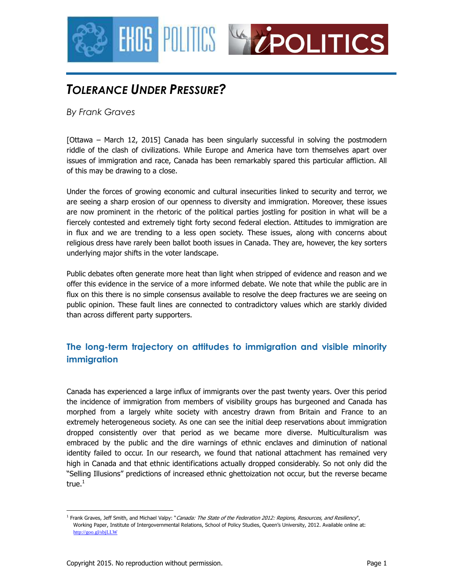

# *TOLERANCE UNDER PRESSURE?*

*By Frank Graves* 

[Ottawa – March 12, 2015] Canada has been singularly successful in solving the postmodern riddle of the clash of civilizations. While Europe and America have torn themselves apart over issues of immigration and race, Canada has been remarkably spared this particular affliction. All of this may be drawing to a close.

Under the forces of growing economic and cultural insecurities linked to security and terror, we are seeing a sharp erosion of our openness to diversity and immigration. Moreover, these issues are now prominent in the rhetoric of the political parties jostling for position in what will be a fiercely contested and extremely tight forty second federal election. Attitudes to immigration are in flux and we are trending to a less open society. These issues, along with concerns about religious dress have rarely been ballot booth issues in Canada. They are, however, the key sorters underlying major shifts in the voter landscape.

Public debates often generate more heat than light when stripped of evidence and reason and we offer this evidence in the service of a more informed debate. We note that while the public are in flux on this there is no simple consensus available to resolve the deep fractures we are seeing on public opinion. These fault lines are connected to contradictory values which are starkly divided than across different party supporters.

## **The long-term trajectory on attitudes to immigration and visible minority immigration**

Canada has experienced a large influx of immigrants over the past twenty years. Over this period the incidence of immigration from members of visibility groups has burgeoned and Canada has morphed from a largely white society with ancestry drawn from Britain and France to an extremely heterogeneous society. As one can see the initial deep reservations about immigration dropped consistently over that period as we became more diverse. Multiculturalism was embraced by the public and the dire warnings of ethnic enclaves and diminution of national identity failed to occur. In our research, we found that national attachment has remained very high in Canada and that ethnic identifications actually dropped considerably. So not only did the "Selling Illusions" predictions of increased ethnic ghettoization not occur, but the reverse became true. $1$ 

<sup>&</sup>lt;u>.</u> <sup>1</sup> Frank Graves, Jeff Smith, and Michael Valpy: "Canada: The State of the Federation 2012: Regions, Resources, and Resiliency", Working Paper, Institute of Intergovernmental Relations, School of Policy Studies, Queen's University, 2012. Available online at: http://goo.gl/sbjLLW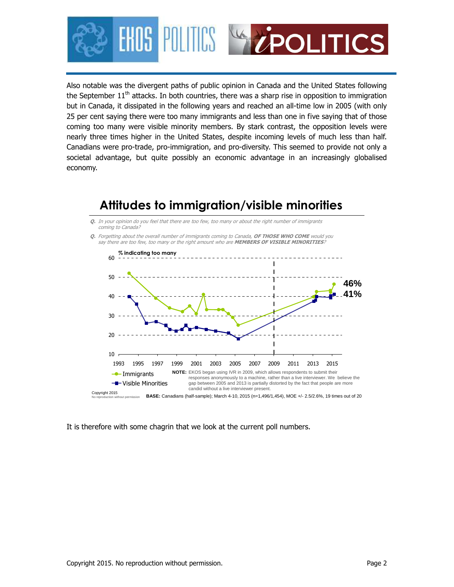

Also notable was the divergent paths of public opinion in Canada and the United States following the September  $11<sup>th</sup>$  attacks. In both countries, there was a sharp rise in opposition to immigration but in Canada, it dissipated in the following years and reached an all-time low in 2005 (with only 25 per cent saying there were too many immigrants and less than one in five saying that of those coming too many were visible minority members. By stark contrast, the opposition levels were nearly three times higher in the United States, despite incoming levels of much less than half. Canadians were pro-trade, pro-immigration, and pro-diversity. This seemed to provide not only a societal advantage, but quite possibly an economic advantage in an increasingly globalised economy.

## $10<sub>1</sub>$ 20 30 40 50 60 **Q.** In your opinion do you feel that there are too few, too many or about the right number of immigrants coming to Canada? **Q.** Forgetting about the overall number of immigrants coming to Canada, **OF THOSE WHO COME** would you say there are too few, too many or the right amount who are **MEMBERS OF VISIBLE MINORITIES**? **46% % indicating too many 41% Attitudes to immigration/visible minorities**



## It is therefore with some chagrin that we look at the current poll numbers.

No reproduction without permission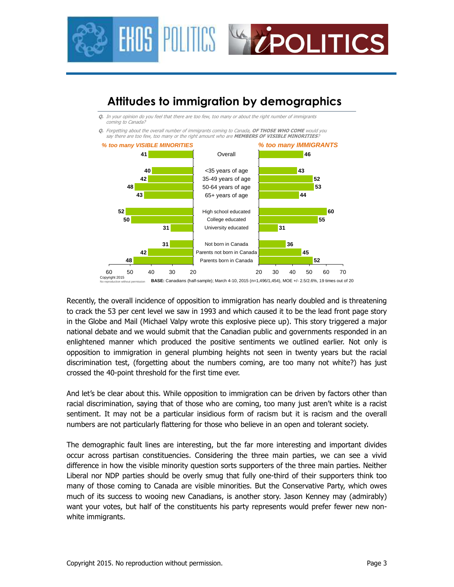

## **Attitudes to immigration by demographics**

**Q.** In your opinion do you feel that there are too few, too many or about the right number of immigrants coming to Canada?

**Q.** Forgetting about the overall number of immigrants coming to Canada, **OF THOSE WHO COME** would you say there are too few, too many or the right amount who are **MEMBERS OF VISIBLE MINORITIES**?



Copyright 2015 No reproduction without permission **BASE:** Canadians (half-sample); March 4-10, 2015 (n=1,496/1,454), MOE +/- 2.5/2.6%, 19 times out of 20

Recently, the overall incidence of opposition to immigration has nearly doubled and is threatening to crack the 53 per cent level we saw in 1993 and which caused it to be the lead front page story in the Globe and Mail (Michael Valpy wrote this explosive piece up). This story triggered a major national debate and we would submit that the Canadian public and governments responded in an enlightened manner which produced the positive sentiments we outlined earlier. Not only is opposition to immigration in general plumbing heights not seen in twenty years but the racial discrimination test, (forgetting about the numbers coming, are too many not white?) has just crossed the 40-point threshold for the first time ever.

And let's be clear about this. While opposition to immigration can be driven by factors other than racial discrimination, saying that of those who are coming, too many just aren't white is a racist sentiment. It may not be a particular insidious form of racism but it is racism and the overall numbers are not particularly flattering for those who believe in an open and tolerant society.

The demographic fault lines are interesting, but the far more interesting and important divides occur across partisan constituencies. Considering the three main parties, we can see a vivid difference in how the visible minority question sorts supporters of the three main parties. Neither Liberal nor NDP parties should be overly smug that fully one-third of their supporters think too many of those coming to Canada are visible minorities. But the Conservative Party, which owes much of its success to wooing new Canadians, is another story. Jason Kenney may (admirably) want your votes, but half of the constituents his party represents would prefer fewer new nonwhite immigrants.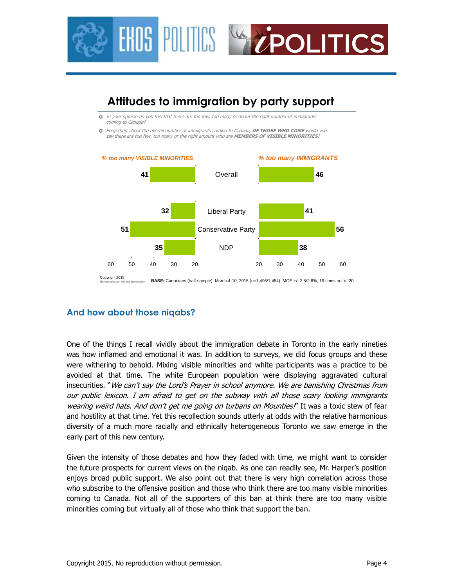



### **And how about those niqabs?**

One of the things I recall vividly about the immigration debate in Toronto in the early nineties was how inflamed and emotional it was. In addition to surveys, we did focus groups and these were withering to behold. Mixing visible minorities and white participants was a practice to be avoided at that time. The white European population were displaying aggravated cultural insecurities. "We can't say the Lord's Prayer in school anymore. We are banishing Christmas from our public lexicon. I am afraid to get on the subway with all those scary looking immigrants wearing weird hats. And don't get me going on turbans on Mounties!" It was a toxic stew of fear and hostility at that time. Yet this recollection sounds utterly at odds with the relative harmonious diversity of a much more racially and ethnically heterogeneous Toronto we saw emerge in the early part of this new century.

Given the intensity of those debates and how they faded with time, we might want to consider the future prospects for current views on the niqab. As one can readily see, Mr. Harper's position enjoys broad public support. We also point out that there is very high correlation across those who subscribe to the offensive position and those who think there are too many visible minorities coming to Canada. Not all of the supporters of this ban at think there are too many visible minorities coming but virtually all of those who think that support the ban.

Copyright 2015 No reproduction without permission **BASE:** Canadians (half-sample); March 4-10, 2015 (n=1,496/1,454), MOE +/- 2.5/2.6%, 19 times out of 20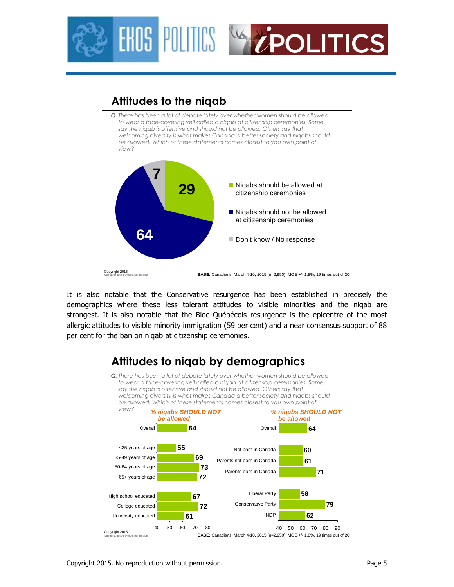



## **Attitudes to the niqab**

**Q.** There has been a lot of debate lately over whether women should be allowed *to wear a face-covering veil called a niqab at citizenship ceremonies. Some*  say the niqab is offensive and should not be allowed. Others say that *welcoming diversity is what makes Canada a better society and niqabs should*  be allowed. Which of these statements comes closest to you own point of *view?*



It is also notable that the Conservative resurgence has been established in precisely the demographics where these less tolerant attitudes to visible minorities and the niqab are strongest. It is also notable that the Bloc Québécois resurgence is the epicentre of the most allergic attitudes to visible minority immigration (59 per cent) and a near consensus support of 88 per cent for the ban on niqab at citizenship ceremonies.



## Copyright 2015. No reproduction without permission. Page 5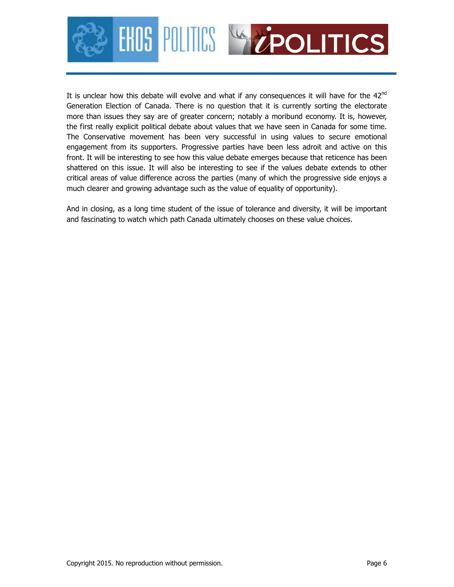

It is unclear how this debate will evolve and what if any consequences it will have for the  $42<sup>nd</sup>$ Generation Election of Canada. There is no question that it is currently sorting the electorate more than issues they say are of greater concern; notably a moribund economy. It is, however, the first really explicit political debate about values that we have seen in Canada for some time. The Conservative movement has been very successful in using values to secure emotional engagement from its supporters. Progressive parties have been less adroit and active on this front. It will be interesting to see how this value debate emerges because that reticence has been shattered on this issue. It will also be interesting to see if the values debate extends to other critical areas of value difference across the parties (many of which the progressive side enjoys a much clearer and growing advantage such as the value of equality of opportunity).

And in closing, as a long time student of the issue of tolerance and diversity, it will be important and fascinating to watch which path Canada ultimately chooses on these value choices.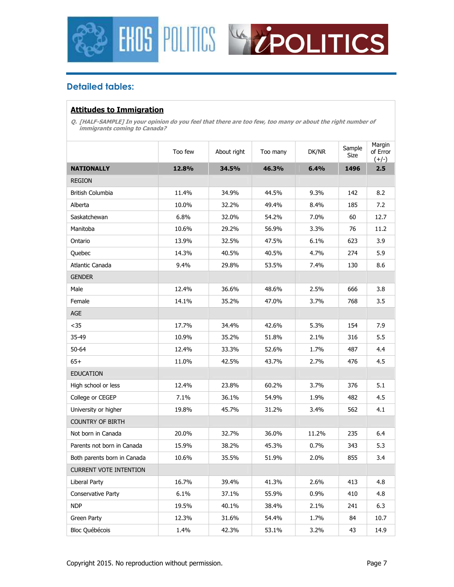



## **Detailed tables:**

### **Attitudes to Immigration**

**Q. [HALF-SAMPLE] In your opinion do you feel that there are too few, too many or about the right number of immigrants coming to Canada?** 

|                               | Too few | About right | Too many | DK/NR | Sample<br>Size | Margin<br>of Error<br>$(+/-)$ |
|-------------------------------|---------|-------------|----------|-------|----------------|-------------------------------|
| <b>NATIONALLY</b>             | 12.8%   | 34.5%       | 46.3%    | 6.4%  | 1496           | 2.5                           |
| <b>REGION</b>                 |         |             |          |       |                |                               |
| British Columbia              | 11.4%   | 34.9%       | 44.5%    | 9.3%  | 142            | 8.2                           |
| Alberta                       | 10.0%   | 32.2%       | 49.4%    | 8.4%  | 185            | 7.2                           |
| Saskatchewan                  | 6.8%    | 32.0%       | 54.2%    | 7.0%  | 60             | 12.7                          |
| Manitoba                      | 10.6%   | 29.2%       | 56.9%    | 3.3%  | 76             | 11.2                          |
| Ontario                       | 13.9%   | 32.5%       | 47.5%    | 6.1%  | 623            | 3.9                           |
| Quebec                        | 14.3%   | 40.5%       | 40.5%    | 4.7%  | 274            | 5.9                           |
| Atlantic Canada               | 9.4%    | 29.8%       | 53.5%    | 7.4%  | 130            | 8.6                           |
| <b>GENDER</b>                 |         |             |          |       |                |                               |
| Male                          | 12.4%   | 36.6%       | 48.6%    | 2.5%  | 666            | 3.8                           |
| Female                        | 14.1%   | 35.2%       | 47.0%    | 3.7%  | 768            | 3.5                           |
| <b>AGE</b>                    |         |             |          |       |                |                               |
| $35$                          | 17.7%   | 34.4%       | 42.6%    | 5.3%  | 154            | 7.9                           |
| 35-49                         | 10.9%   | 35.2%       | 51.8%    | 2.1%  | 316            | 5.5                           |
| 50-64                         | 12.4%   | 33.3%       | 52.6%    | 1.7%  | 487            | 4.4                           |
| $65+$                         | 11.0%   | 42.5%       | 43.7%    | 2.7%  | 476            | 4.5                           |
| <b>EDUCATION</b>              |         |             |          |       |                |                               |
| High school or less           | 12.4%   | 23.8%       | 60.2%    | 3.7%  | 376            | 5.1                           |
| College or CEGEP              | 7.1%    | 36.1%       | 54.9%    | 1.9%  | 482            | 4.5                           |
| University or higher          | 19.8%   | 45.7%       | 31.2%    | 3.4%  | 562            | 4.1                           |
| <b>COUNTRY OF BIRTH</b>       |         |             |          |       |                |                               |
| Not born in Canada            | 20.0%   | 32.7%       | 36.0%    | 11.2% | 235            | 6.4                           |
| Parents not born in Canada    | 15.9%   | 38.2%       | 45.3%    | 0.7%  | 343            | 5.3                           |
| Both parents born in Canada   | 10.6%   | 35.5%       | 51.9%    | 2.0%  | 855            | 3.4                           |
| <b>CURRENT VOTE INTENTION</b> |         |             |          |       |                |                               |
| <b>Liberal Party</b>          | 16.7%   | 39.4%       | 41.3%    | 2.6%  | 413            | 4.8                           |
| Conservative Party            | 6.1%    | 37.1%       | 55.9%    | 0.9%  | 410            | 4.8                           |
| <b>NDP</b>                    | 19.5%   | 40.1%       | 38.4%    | 2.1%  | 241            | 6.3                           |
| Green Party                   | 12.3%   | 31.6%       | 54.4%    | 1.7%  | 84             | 10.7                          |
| <b>Bloc Québécois</b>         | 1.4%    | 42.3%       | 53.1%    | 3.2%  | 43             | 14.9                          |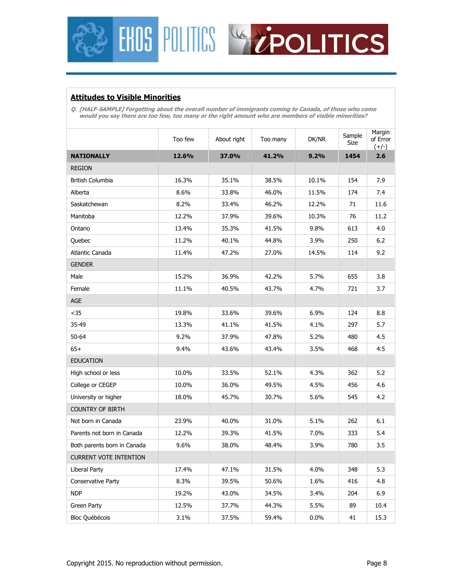



## **Attitudes to Visible Minorities**

**Q. [HALF-SAMPLE] Forgetting about the overall number of immigrants coming to Canada, of those who come would you say there are too few, too many or the right amount who are members of visible minorities?** 

|                               | Too few | About right | Too many | DK/NR   | Sample<br>Size | Margin<br>of Error<br>$(+/-)$ |
|-------------------------------|---------|-------------|----------|---------|----------------|-------------------------------|
| <b>NATIONALLY</b>             | 12.6%   | 37.0%       | 41.2%    | 9.2%    | 1454           | 2.6                           |
| <b>REGION</b>                 |         |             |          |         |                |                               |
| <b>British Columbia</b>       | 16.3%   | 35.1%       | 38.5%    | 10.1%   | 154            | 7.9                           |
| Alberta                       | 8.6%    | 33.8%       | 46.0%    | 11.5%   | 174            | 7.4                           |
| Saskatchewan                  | 8.2%    | 33.4%       | 46.2%    | 12.2%   | 71             | 11.6                          |
| Manitoba                      | 12.2%   | 37.9%       | 39.6%    | 10.3%   | 76             | 11.2                          |
| Ontario                       | 13.4%   | 35.3%       | 41.5%    | 9.8%    | 613            | 4.0                           |
| Quebec                        | 11.2%   | 40.1%       | 44.8%    | 3.9%    | 250            | 6.2                           |
| Atlantic Canada               | 11.4%   | 47.2%       | 27.0%    | 14.5%   | 114            | 9.2                           |
| <b>GENDER</b>                 |         |             |          |         |                |                               |
| Male                          | 15.2%   | 36.9%       | 42.2%    | 5.7%    | 655            | 3.8                           |
| Female                        | 11.1%   | 40.5%       | 43.7%    | 4.7%    | 721            | 3.7                           |
| <b>AGE</b>                    |         |             |          |         |                |                               |
| $35$                          | 19.8%   | 33.6%       | 39.6%    | 6.9%    | 124            | 8.8                           |
| 35-49                         | 13.3%   | 41.1%       | 41.5%    | 4.1%    | 297            | 5.7                           |
| 50-64                         | 9.2%    | 37.9%       | 47.8%    | 5.2%    | 480            | 4.5                           |
| $65+$                         | 9.4%    | 43.6%       | 43.4%    | 3.5%    | 468            | 4.5                           |
| <b>EDUCATION</b>              |         |             |          |         |                |                               |
| High school or less           | 10.0%   | 33.5%       | 52.1%    | 4.3%    | 362            | 5.2                           |
| College or CEGEP              | 10.0%   | 36.0%       | 49.5%    | 4.5%    | 456            | 4.6                           |
| University or higher          | 18.0%   | 45.7%       | 30.7%    | 5.6%    | 545            | 4.2                           |
| <b>COUNTRY OF BIRTH</b>       |         |             |          |         |                |                               |
| Not born in Canada            | 23.9%   | 40.0%       | 31.0%    | 5.1%    | 262            | 6.1                           |
| Parents not born in Canada    | 12.2%   | 39.3%       | 41.5%    | 7.0%    | 333            | 5.4                           |
| Both parents born in Canada   | 9.6%    | 38.0%       | 48.4%    | 3.9%    | 780            | 3.5                           |
| <b>CURRENT VOTE INTENTION</b> |         |             |          |         |                |                               |
| Liberal Party                 | 17.4%   | 47.1%       | 31.5%    | 4.0%    | 348            | 5.3                           |
| Conservative Party            | 8.3%    | 39.5%       | 50.6%    | 1.6%    | 416            | 4.8                           |
| <b>NDP</b>                    | 19.2%   | 43.0%       | 34.5%    | 3.4%    | 204            | 6.9                           |
| Green Party                   | 12.5%   | 37.7%       | 44.3%    | 5.5%    | 89             | 10.4                          |
| <b>Bloc Québécois</b>         | 3.1%    | 37.5%       | 59.4%    | $0.0\%$ | 41             | 15.3                          |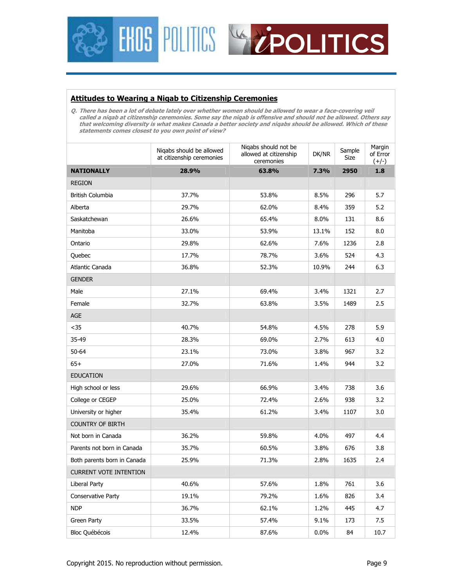



#### **Attitudes to Wearing a Niqab to Citizenship Ceremonies**

**Q. There has been a lot of debate lately over whether women should be allowed to wear a face-covering veil called a niqab at citizenship ceremonies. Some say the niqab is offensive and should not be allowed. Others say that welcoming diversity is what makes Canada a better society and niqabs should be allowed. Which of these statements comes closest to you own point of view?** 

|                               | Nigabs should be allowed<br>at citizenship ceremonies | Nigabs should not be<br>allowed at citizenship<br>ceremonies | DK/NR | Sample<br>Size | Margin<br>of Error<br>$(+/-)$ |
|-------------------------------|-------------------------------------------------------|--------------------------------------------------------------|-------|----------------|-------------------------------|
| <b>NATIONALLY</b>             | 28.9%                                                 | 63.8%                                                        | 7.3%  | 2950           | 1.8                           |
| <b>REGION</b>                 |                                                       |                                                              |       |                |                               |
| British Columbia              | 37.7%                                                 | 53.8%                                                        | 8.5%  | 296            | 5.7                           |
| Alberta                       | 29.7%                                                 | 62.0%                                                        | 8.4%  | 359            | 5.2                           |
| Saskatchewan                  | 26.6%                                                 | 65.4%                                                        | 8.0%  | 131            | 8.6                           |
| Manitoba                      | 33.0%                                                 | 53.9%                                                        | 13.1% | 152            | 8.0                           |
| Ontario                       | 29.8%                                                 | 62.6%                                                        | 7.6%  | 1236           | 2.8                           |
| Quebec                        | 17.7%                                                 | 78.7%                                                        | 3.6%  | 524            | 4.3                           |
| Atlantic Canada               | 36.8%                                                 | 52.3%                                                        | 10.9% | 244            | 6.3                           |
| <b>GENDER</b>                 |                                                       |                                                              |       |                |                               |
| Male                          | 27.1%                                                 | 69.4%                                                        | 3.4%  | 1321           | 2.7                           |
| Female                        | 32.7%                                                 | 63.8%                                                        | 3.5%  | 1489           | 2.5                           |
| AGE                           |                                                       |                                                              |       |                |                               |
| $35$                          | 40.7%                                                 | 54.8%                                                        | 4.5%  | 278            | 5.9                           |
| 35-49                         | 28.3%                                                 | 69.0%                                                        | 2.7%  | 613            | 4.0                           |
| 50-64                         | 23.1%                                                 | 73.0%                                                        | 3.8%  | 967            | 3.2                           |
| $65+$                         | 27.0%                                                 | 71.6%                                                        | 1.4%  | 944            | 3.2                           |
| <b>EDUCATION</b>              |                                                       |                                                              |       |                |                               |
| High school or less           | 29.6%                                                 | 66.9%                                                        | 3.4%  | 738            | 3.6                           |
| College or CEGEP              | 25.0%                                                 | 72.4%                                                        | 2.6%  | 938            | 3.2                           |
| University or higher          | 35.4%                                                 | 61.2%                                                        | 3.4%  | 1107           | 3.0                           |
| <b>COUNTRY OF BIRTH</b>       |                                                       |                                                              |       |                |                               |
| Not born in Canada            | 36.2%                                                 | 59.8%                                                        | 4.0%  | 497            | 4.4                           |
| Parents not born in Canada    | 35.7%                                                 | 60.5%                                                        | 3.8%  | 676            | 3.8                           |
| Both parents born in Canada   | 25.9%                                                 | 71.3%                                                        | 2.8%  | 1635           | 2.4                           |
| <b>CURRENT VOTE INTENTION</b> |                                                       |                                                              |       |                |                               |
| Liberal Party                 | 40.6%                                                 | 57.6%                                                        | 1.8%  | 761            | 3.6                           |
| Conservative Party            | 19.1%                                                 | 79.2%                                                        | 1.6%  | 826            | 3.4                           |
| <b>NDP</b>                    | 36.7%                                                 | 62.1%                                                        | 1.2%  | 445            | 4.7                           |
| Green Party                   | 33.5%                                                 | 57.4%                                                        | 9.1%  | 173            | 7.5                           |
| <b>Bloc Québécois</b>         | 12.4%                                                 | 87.6%                                                        | 0.0%  | 84             | 10.7                          |